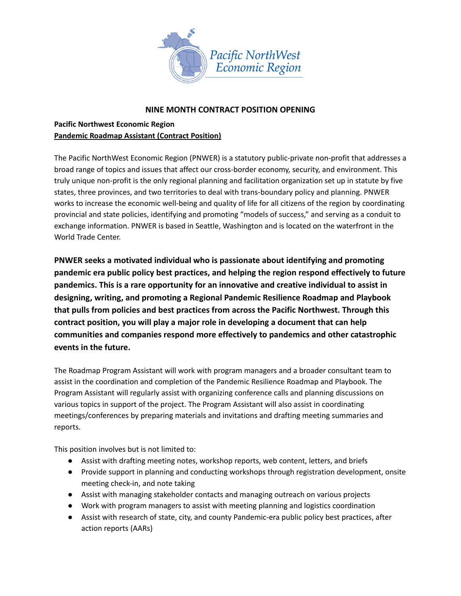

## **NINE MONTH CONTRACT POSITION OPENING**

# **Pacific Northwest Economic Region Pandemic Roadmap Assistant (Contract Position)**

The Pacific NorthWest Economic Region (PNWER) is a statutory public-private non-profit that addresses a broad range of topics and issues that affect our cross-border economy, security, and environment. This truly unique non-profit is the only regional planning and facilitation organization set up in statute by five states, three provinces, and two territories to deal with trans-boundary policy and planning. PNWER works to increase the economic well-being and quality of life for all citizens of the region by coordinating provincial and state policies, identifying and promoting "models of success," and serving as a conduit to exchange information. PNWER is based in Seattle, Washington and is located on the waterfront in the World Trade Center.

**PNWER seeks a motivated individual who is passionate about identifying and promoting pandemic era public policy best practices, and helping the region respond effectively to future pandemics. This is a rare opportunity for an innovative and creative individual to assist in designing, writing, and promoting a Regional Pandemic Resilience Roadmap and Playbook that pulls from policies and best practices from across the Pacific Northwest. Through this contract position, you will play a major role in developing a document that can help communities and companies respond more effectively to pandemics and other catastrophic events in the future.**

The Roadmap Program Assistant will work with program managers and a broader consultant team to assist in the coordination and completion of the Pandemic Resilience Roadmap and Playbook. The Program Assistant will regularly assist with organizing conference calls and planning discussions on various topics in support of the project. The Program Assistant will also assist in coordinating meetings/conferences by preparing materials and invitations and drafting meeting summaries and reports.

This position involves but is not limited to:

- Assist with drafting meeting notes, workshop reports, web content, letters, and briefs
- Provide support in planning and conducting workshops through registration development, onsite meeting check-in, and note taking
- Assist with managing stakeholder contacts and managing outreach on various projects
- Work with program managers to assist with meeting planning and logistics coordination
- Assist with research of state, city, and county Pandemic-era public policy best practices, after action reports (AARs)